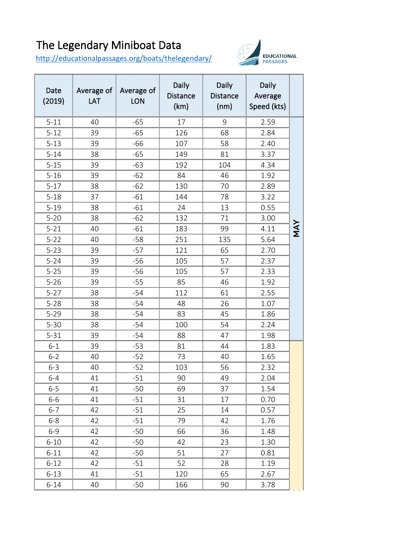## The Legendary Miniboat Data

<http://educationalpassages.org/boats/thelegendary/>



| Date<br>(2019)                 | Average of Average of<br>LAT | <b>LON</b> | <b>Daily</b><br>Distance<br>(km) | Daily<br>Distance<br>(nm) | Daily<br>Average<br>Speed (kts) |        |
|--------------------------------|------------------------------|------------|----------------------------------|---------------------------|---------------------------------|--------|
| $5 - 11$                       | 40                           | -65        |                                  | 9                         | 2.59                            |        |
| $5 - 12$                       | 39                           | -65        | 126                              | 68                        | 2.84                            |        |
| $5 - 13$                       | 39                           | -66        | 107                              | 58                        | 2.40                            |        |
| $5 - 14$                       | 38                           | -65        | 149                              | 81                        | 3.37                            |        |
| $5 - 15$                       | 39                           | -63        | 192<br>                          | 104                       | 4.34                            |        |
| $5 - 16$                       | 39                           | -62        | 84                               | 46                        | 1.92                            |        |
| $5-17$<br>                     | 38                           | -62        | 130                              | $\sqrt{2}$                | 2.89<br>                        |        |
| $5-18$                         | 37                           | $-61$      | 144                              | 78                        | 3.22                            |        |
| $5 - 19$<br>,,,,,,,,,,,,,,,,,, | 38                           | -61        | 24                               | 13                        | 0.55<br>                        |        |
| 5-20<br>                       | 38<br>                       | -62        | 132<br>                          | 71<br>                    | 3.00<br>                        |        |
| $5 - 21$                       | 40                           | $-61$<br>  | 183                              | 99<br>                    | 4.11                            | Σ<br>Σ |
| $5 - 22$                       | 40                           | $-58$      | 251                              | 135                       | 5.64                            |        |
| $5 - 23$                       | 39                           | -57        | 121                              | 65                        | 2.70                            |        |
| $5 - 24$                       | 39                           | $-56$      | 105                              | 57                        | 2.37                            |        |
| $5 - 25$                       | 39                           | $-56$      | 105                              | 57                        | 2.33                            |        |
| $5 - 26$                       | 39                           | $-55$      | 85                               | 46                        | 1.92                            |        |
| $5 - 27$                       | 38                           | $-54$      | 112                              | 61                        | 2.55                            |        |
| $5 - 28$                       | 38                           | -54        | 48<br>,,,,,,,,,,,,,,,,,          | 26<br>                    | 1.07<br>                        |        |
| $5 - 29$                       | 38                           | -54        | 83                               | 45                        | 1.86                            |        |
| $5 - 30$                       | 38<br>                       | -54<br>    | 100<br>                          | 54                        | 2.24<br>                        |        |
| 5-31                           | 39                           | -54        | 88                               | 47                        | 1.98                            |        |
| 6-1                            | 39                           | $-53$<br>  | 81                               | 44                        | 1.83<br>                        |        |
| $6 - 2$                        | 40<br>                       | $-52$<br>  | 73<br>                           | 40<br>                    | 1.65<br>                        |        |
| $6 - 3$                        | 40                           | -52        | 103                              | 56                        | 2.32                            |        |
| 6-4                            | 41                           | .51        | 90                               | 49                        | 2 N.A                           |        |
| $6 - 5$                        | 41                           | -50        | 69                               | 37                        | 1.54                            |        |
| $6 - 6$                        | 41                           | $-51$      | 31                               | 17                        | 0.70                            |        |
| $6 - 7$                        | 42                           | $-51$      | 25                               | 14                        | 0.57                            |        |
| 6-8                            | 42                           | $-51$      | 79                               | 42                        | 1.76                            |        |
| $6 - 9$                        | 42                           | $-50$      | 66                               | 36                        | 1.48                            |        |
| $6 - 10$                       | 42                           | -50        | 42                               | 23                        | 1.30                            |        |
| 6-11                           | 42                           | $-50$      | 51                               | 27                        | 0.81                            |        |
| 6-12                           | 42                           | $-51$      | 52                               | 28                        | 1.19                            |        |
| 6-13                           | 41                           | $-51$      | 120                              | 65                        | 2.67                            |        |
| 6-14                           | 40                           | -50        | 166                              | 90                        | 3.78                            |        |
|                                |                              |            |                                  |                           |                                 |        |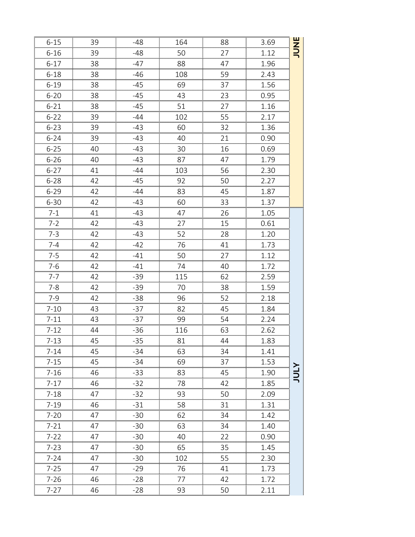| Z | 3.69                                      | 88                          | 164                                                                                                      | $-48$                                       | 39                  | $6 - 15$                                                   |
|---|-------------------------------------------|-----------------------------|----------------------------------------------------------------------------------------------------------|---------------------------------------------|---------------------|------------------------------------------------------------|
|   | 1.12                                      | 27                          | 50<br>យបាយបាយបាយបាញ់បាយបាយបាយបាយបាយបាយបាយបាយថ្មីយបាយបាយបាយបាយបាយបាយបាយបាយបាញ់ការយបាយបាយបាយបាយបាយបាយបាយបា | -48                                         | 39                  | $6 - 16$                                                   |
|   | 1.96                                      | 47                          | 88                                                                                                       | -47                                         | 38<br>              | $6-17$                                                     |
|   | 2.43<br>                                  | 59<br>                      | 108<br>,,,,,,,,,,,,,,,,,,,                                                                               | -46<br>                                     | 38<br>              | $6 - 18$<br>                                               |
|   | 1.56                                      | 37                          | 69                                                                                                       | -45                                         | 38                  | $6 - 19$                                                   |
|   | 0.95                                      | 23                          | 43                                                                                                       | $-45$                                       | 38                  | $6-20$                                                     |
|   | 1.16<br>00000000000000                    | 27<br>,,,,,,,,,,,,,,,,,,,,, | 51<br>00000000000000                                                                                     | -45                                         | 38<br>0000000000000 | $\begin{array}{c c} 6-21 & \text{ } \\ \hline \end{array}$ |
|   | 2.17                                      | 55                          | 102                                                                                                      | -44                                         | 39                  | $6-22$                                                     |
|   | 1.36                                      | 32                          | 60                                                                                                       | $-43$                                       | 39                  | $6-23$                                                     |
|   | 0.90                                      | 21                          | 40                                                                                                       | -43                                         | 39                  | $6 - 24$                                                   |
|   | 0.69                                      | 16                          | 30                                                                                                       | $-43$                                       | 40                  | $6-25$                                                     |
|   | 1.79                                      | 47                          | 87                                                                                                       | $-43$                                       | 40                  | $6 - 26$                                                   |
|   | 2.30                                      | 56                          | 103                                                                                                      | -44                                         | 41                  | $6 - 27$                                                   |
|   | 2.27                                      | 50                          | 92                                                                                                       | $-45$                                       | 42                  | $6 - 28$                                                   |
|   | 1.87                                      | 45<br>                      | 83                                                                                                       | -44                                         | 42                  | $6 - 29$                                                   |
|   | 1.37                                      | 33                          | 60                                                                                                       |                                             | 42                  | $6 - 30$                                                   |
|   | 1.05                                      | 26                          | 47                                                                                                       | $-43$                                       | 41                  | $7 - 1$                                                    |
|   | 0.61                                      | 15                          | 27<br>យាយាយាយាយាយឃុំបាយាយាយាយាយាយាយាយាយាយាយាយថ្មីលាយាយាយាយាយាយាយាយាយាយាយាយថ្មីលាយាយាយា                   | -43                                         | 42                  | 7-2<br>,,,,,,,,,,,,,,                                      |
|   | 1.20                                      | 28                          | 52                                                                                                       | 43                                          | 42                  | $7-3$                                                      |
|   | 1.73                                      | 41<br>,,,,,,,,,,,,,,,,,,,   | 76<br>                                                                                                   | -42<br>mummummumm <mark>i</mark> mummu      | 42                  | $7-4$                                                      |
|   | 1.12                                      | 27                          | 50                                                                                                       |                                             | 42                  | $7 - 5$                                                    |
|   | 1.72                                      | 40                          | 74                                                                                                       | $-41$                                       | 42                  | $7 - 6$                                                    |
|   | 2.59                                      | 62                          | 115                                                                                                      | $-39$                                       | 42                  | $7-7$                                                      |
|   | 1.59                                      | 38                          | 70                                                                                                       | $-39$                                       | 42                  | $7-8$                                                      |
|   | 2.18                                      | 52                          | 96                                                                                                       | $-38$                                       | 42                  | $7-9$                                                      |
|   | 1.84                                      | 45                          | 82                                                                                                       | $-37$                                       | 43                  | $7 - 10$                                                   |
|   | 2.24                                      | 54                          | 99                                                                                                       | $-37$                                       | 43                  | $7 - 11$                                                   |
|   | 2.62<br>ការបង្ខិតអោយអោយអោយអោយអោយអោយអោយអោយ | 63<br>                      | 116<br>                                                                                                  | -36                                         | 44                  | $7 - 12$<br>                                               |
|   | 1.83                                      |                             | 81                                                                                                       | -35<br>amamamamamaman <sup>7</sup> amamamam | 45                  | $7-13$                                                     |
|   | 1.41                                      | 34                          | 63                                                                                                       | -34                                         | 45                  | 7-14                                                       |
|   | 1.53                                      | 37                          | 69                                                                                                       | -34                                         | 45                  | $7 - 15$                                                   |
|   | 1.90                                      | 45                          | 83                                                                                                       | -33                                         | 46                  | $7 - 16$                                                   |
|   | 1.85                                      | 42                          | 78                                                                                                       | $-32$                                       | 46                  | $7 - 17$                                                   |
|   | $\frac{10}{2.09}$                         | 50                          |                                                                                                          |                                             | 47                  | $7-18$                                                     |
|   | 1.31                                      | 31                          | 58                                                                                                       | $-31$                                       | 46                  | 7-19                                                       |
|   | 1.42                                      | 34                          | 62                                                                                                       | -30                                         | 47                  | 7-20                                                       |
|   | 1.40                                      | 34                          | 63                                                                                                       | $-30$                                       | 47                  | $7 - 21$                                                   |
|   | 0.90                                      | 22                          | 40                                                                                                       | $-30$                                       | 47                  | $7 - 22$                                                   |
|   | 1.45                                      | 35                          | 65                                                                                                       | -30                                         | 47                  | 7-23                                                       |
|   | 2.30                                      | 55                          | 102<br>                                                                                                  | $-30$                                       | 47                  | $7 - 24$                                                   |
|   | 1.73                                      | 41                          | 76                                                                                                       | $-29$                                       | 47                  | $7 - 25$                                                   |
|   | 1.72                                      | 42                          | 77                                                                                                       | -28                                         | 46                  | 7-26                                                       |
|   | 2.11                                      | 50                          | 93                                                                                                       | $-28$                                       | 46                  | 7-27                                                       |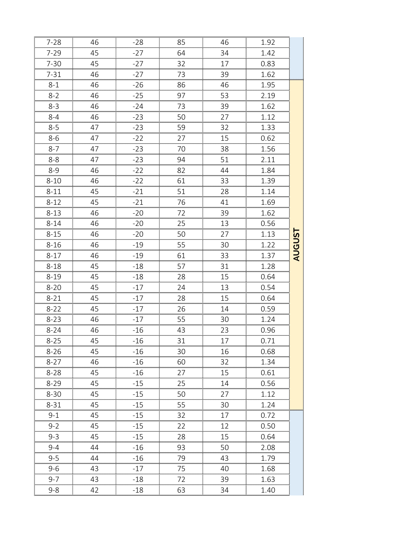|    | 1.92                                              | 46                                          | 85                       |                                                                                                                         |                                                | $7-28$                                                         |
|----|---------------------------------------------------|---------------------------------------------|--------------------------|-------------------------------------------------------------------------------------------------------------------------|------------------------------------------------|----------------------------------------------------------------|
|    | 1.42<br>                                          | 34<br>,,,,,,,,,,,,,,,,                      | 64<br>,,,,,,,,,,,,,,,,,, | $-27$<br>00000000000000000000000                                                                                        | 45<br>0000000000000000000                      | $7-29$                                                         |
|    | 0.83                                              | 17                                          | 32                       | -27                                                                                                                     | _45<br>                                        | $7 - 30$                                                       |
|    |                                                   |                                             |                          |                                                                                                                         |                                                |                                                                |
|    | $\frac{1.95}{2.19}$<br>$\frac{1.62}{2.13}$        | $\begin{array}{c}\n 46 \\ -7\n \end{array}$ | $\frac{86}{15}$          | $-26$                                                                                                                   |                                                | $8-1$                                                          |
|    |                                                   | 53                                          | 97                       | $-25$                                                                                                                   | $-46$                                          | $8-2$                                                          |
|    |                                                   | 39                                          | $73$<br>50<br>           | $-24$                                                                                                                   | 46<br>46<br>                                   | $8-3$<br>$8-4$                                                 |
|    |                                                   | 27<br><br>$\frac{1}{32}$                    |                          | $-23$                                                                                                                   | $\overline{47}$                                |                                                                |
|    | 1.12<br>1.33<br>0.62<br>1.56<br>2.11<br>2.11      | 15                                          | $\frac{59}{27}$          | $-23$<br>$-22$<br>$-23$<br>$-23$<br>$-23$                                                                               | $\frac{47}{1}$                                 |                                                                |
|    |                                                   | 38                                          | ,,,,,,,,,,,,<br>70       |                                                                                                                         | 47                                             | $8-5$<br>$8-6$<br>$8-7$                                        |
|    |                                                   | 51                                          | 94                       |                                                                                                                         | 47                                             | $8-8$                                                          |
|    | $\frac{1.84}{1.55}$                               | 44                                          | 82                       | $-22$<br>$-22$                                                                                                          | $\frac{46}{1}$                                 | $8 - 9$                                                        |
|    | 1.39                                              | 33                                          | 61                       |                                                                                                                         | 46                                             | $8 - 10$                                                       |
|    | 1.14<br><u>mmunumumumumumumumum<mark>i</mark></u> | 28<br>,,,,,,,,,,,,,,,,,,,,,,,,,,,,,,,,      | 51<br>                   | $-21$                                                                                                                   | 45<br>,,,,,,,,,,,,,,,,,,,,,,,,,,,,,,,,         | $8 - 11$<br>,,,,,,,,,,,,,,,,,,,,,,,,,,,,,                      |
|    | 1.69<br>0000000000000000000000                    | 41<br>                                      | 76                       | $-21$<br>                                                                                                               | 45                                             | $8 - 12$                                                       |
|    | 1.62<br>www.www.www.ww<br>0.56                    | 39<br>13                                    | 72<br><br>25             | -20<br>-20                                                                                                              | 46<br>46                                       | $8 - 13$<br>យាយមាយមាយមាយ <mark>ប</mark> ិសាយមាយមាយ<br>$8 - 14$ |
|    | 1.13                                              | <br>27                                      | 50                       | <u>mammunimunimuning</u> unimun<br>-20                                                                                  | <u> បានបោះបោះបោះបោះបោះបញ្ជើបានបោះបោះ</u><br>46 | $8 - 15$                                                       |
| ςC | 1.22                                              | 30                                          | <br>55                   | $-19$                                                                                                                   | 46                                             | $8 - 16$                                                       |
|    | 00000000000000000000<br>1.37                      | ,,,,,,,,,,,,,,,,,<br>33                     | <br>61                   | <br>-19                                                                                                                 | <br>46                                         | $8 - 17$                                                       |
|    | <br>1.28<br>                                      | <br>31                                      | 0000000000000<br>57      | munumunumunumunum <mark>i</mark> munumunu<br>$-18$                                                                      | nomonomonomonomoĝamonom<br>45<br>              | $8 - 18$                                                       |
|    | 0.64                                              | 15                                          | 28                       | $-18$                                                                                                                   | 45<br>                                         | $8 - 19$                                                       |
|    | 0.54                                              | 13                                          | 24                       | -17                                                                                                                     | 45                                             | $8-20$                                                         |
|    | 0.64                                              | 15                                          | 28                       | $-17$                                                                                                                   | 45<br>                                         | $8 - 21$                                                       |
|    | 0.59<br>                                          | 14                                          | 26<br>                   | -17                                                                                                                     | 45                                             | $8 - 22$<br>                                                   |
|    | 1.24<br>0.96                                      | 30<br>23                                    | $\frac{55}{2}$<br>43     | $-16$                                                                                                                   | 46<br>46                                       | $8 - 23$<br>$8 - 24$                                           |
|    | <br>0.71                                          | <br>17                                      | ,,,,,,,,,,,,,,,<br>31    | <br>-16                                                                                                                 | <br>45                                         | ,,,,,,,,,,,,,,,,,,,,<br>$8 - 25$                               |
|    | 0.68                                              | 16                                          | 30                       | អោយអោយអោយអោយមេឃើញអោយអោយអោយអោយអោយអាយអាយអាយអោយអោយអោយអោយអាយអាយអាយអាយអោយអោយអោយអាយអាយអាយអាយអាយអោយអាយអាយអាយអាយអាយអាយ<br>$-16$ | 45                                             | $8 - 26$                                                       |
|    | <br>1.34                                          | <br>32                                      | <br>60                   | -16                                                                                                                     | <br>46                                         | <br>$8 - 27$                                                   |
|    | <br>0.61                                          | ,,,,,,,,,,,,,,,<br>15                       | <br>27                   | <br>-16                                                                                                                 | 45                                             | <br>$8 - 28$<br>_________________                              |
|    | 0.56                                              | <br>14<br>                                  | <br>25                   | $-15$                                                                                                                   | 45                                             | $8 - 29$                                                       |
|    | 1.12<br><del></del>                               | 27<br>                                      | 50<br>000000000000       | -15<br>ununununun                                                                                                       | 45                                             | $8 - 30$                                                       |
|    | 1.24                                              | 30                                          | 55                       | -15<br>                                                                                                                 | 45                                             | 8-31                                                           |
|    | 0.72                                              | 17                                          | 32                       | $-15$                                                                                                                   | 45<br>                                         | $9 - 1$                                                        |
|    | 0.50                                              | 12                                          | 22                       | $-15$                                                                                                                   | 45                                             | $9 - 2$                                                        |
|    | 0.64<br>2.08                                      | 15<br>50                                    | 28<br>93                 | $-15$<br>-16                                                                                                            | 45<br>44                                       | $9 - 3$<br>$9 - 4$                                             |
|    | <br>1.79                                          | 43                                          |                          | -16                                                                                                                     | 44                                             | $9 - 5$                                                        |
|    | 1.68                                              | 40                                          | 75                       | -17                                                                                                                     | 43                                             | $9 - 6$                                                        |
|    | 1.63                                              | 39                                          | 72                       | -18                                                                                                                     | 43                                             | 9-7                                                            |
|    | 1.40                                              | 34                                          | 63                       | -18                                                                                                                     | 42                                             | $9 - 8$                                                        |